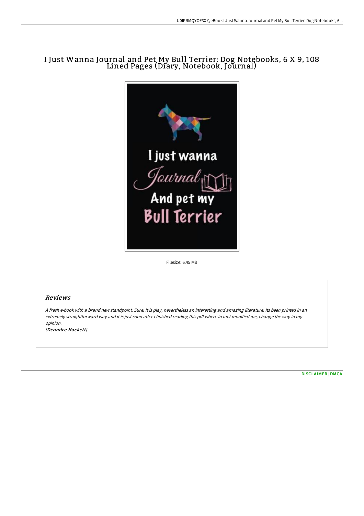# I Just Wanna Journal and Pet My Bull Terrier: Dog Notebooks, 6 X 9, 108 Lined Pages (Diary, Notebook, Journal)



Filesize: 6.45 MB

## Reviews

<sup>A</sup> fresh e-book with <sup>a</sup> brand new standpoint. Sure, it is play, nevertheless an interesting and amazing literature. Its been printed in an extremely straightforward way and it is just soon after i finished reading this pdf where in fact modified me, change the way in my opinion.

(Deondre Hackett)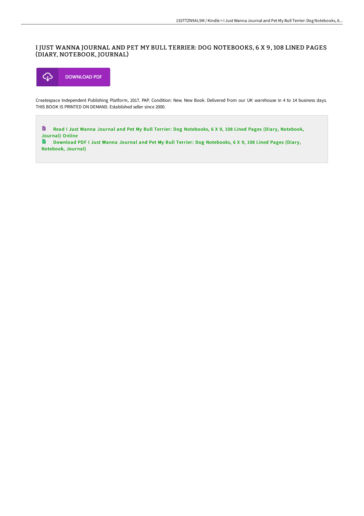## I JUST WANNA JOURNAL AND PET MY BULL TERRIER: DOG NOTEBOOKS, 6 X 9, 108 LINED PAGES (DIARY, NOTEBOOK, JOURNAL)



Createspace Independent Publishing Platform, 2017. PAP. Condition: New. New Book. Delivered from our UK warehouse in 4 to 14 business days. THIS BOOK IS PRINTED ON DEMAND. Established seller since 2000.

 $\blacksquare$ Read I Just Wanna Journal and Pet My Bull Terrier: Dog [Notebooks,](http://albedo.media/i-just-wanna-journal-and-pet-my-bull-terrier-dog.html) 6 X 9, 108 Lined Pages (Diary, Notebook, Journal) Online

Download PDF I Just Wanna Journal and Pet My Bull Terrier: Dog [Notebooks,](http://albedo.media/i-just-wanna-journal-and-pet-my-bull-terrier-dog.html) 6 X 9, 108 Lined Pages (Diary, Notebook, Journal)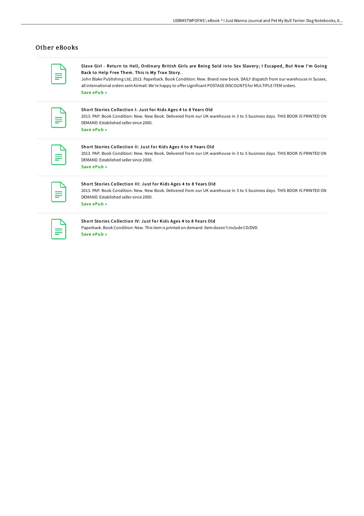### Other eBooks

Slave Girl - Return to Hell, Ordinary British Girls are Being Sold into Sex Slavery; I Escaped, But Now I'm Going Back to Help Free Them. This is My True Story .

John Blake Publishing Ltd, 2013. Paperback. Book Condition: New. Brand new book. DAILY dispatch from our warehouse in Sussex, all international orders sent Airmail. We're happy to offer significant POSTAGEDISCOUNTS for MULTIPLE ITEM orders. Save [ePub](http://albedo.media/slave-girl-return-to-hell-ordinary-british-girls.html) »

Short Stories Collection I: Just for Kids Ages 4 to 8 Years Old

2013. PAP. Book Condition: New. New Book. Delivered from our UK warehouse in 3 to 5 business days. THIS BOOK IS PRINTED ON DEMAND. Established seller since 2000. Save [ePub](http://albedo.media/short-stories-collection-i-just-for-kids-ages-4-.html) »

#### Short Stories Collection II: Just for Kids Ages 4 to 8 Years Old

2013. PAP. Book Condition: New. New Book. Delivered from our UK warehouse in 3 to 5 business days. THIS BOOK IS PRINTED ON DEMAND. Established seller since 2000. Save [ePub](http://albedo.media/short-stories-collection-ii-just-for-kids-ages-4.html) »

#### Short Stories Collection III: Just for Kids Ages 4 to 8 Years Old 2013. PAP. Book Condition: New. New Book. Delivered from our UK warehouse in 3 to 5 business days. THIS BOOK IS PRINTED ON DEMAND. Established seller since 2000.

Save [ePub](http://albedo.media/short-stories-collection-iii-just-for-kids-ages-.html) »

#### Short Stories Collection IV: Just for Kids Ages 4 to 8 Years Old

Paperback. Book Condition: New. This item is printed on demand. Item doesn't include CD/DVD. Save [ePub](http://albedo.media/short-stories-collection-iv-just-for-kids-ages-4.html) »